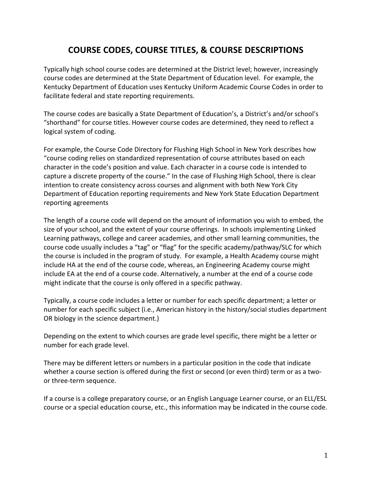## **COURSE CODES, COURSE TITLES, & COURSE DESCRIPTIONS**

Typically high school course codes are determined at the District level; however, increasingly course codes are determined at the State Department of Education level. For example, the Kentucky Department of Education uses Kentucky Uniform Academic Course Codes in order to facilitate federal and state reporting requirements.

The course codes are basically a State Department of Education's, a District's and/or school's "shorthand" for course titles. However course codes are determined, they need to reflect a logical system of coding.

For example, the Course Code Directory for Flushing High School in New York describes how "course coding relies on standardized representation of course attributes based on each character in the code's position and value. Each character in a course code is intended to capture a discrete property of the course." In the case of Flushing High School, there is clear intention to create consistency across courses and alignment with both New York City Department of Education reporting requirements and New York State Education Department reporting agreements

The length of a course code will depend on the amount of information you wish to embed, the size of your school, and the extent of your course offerings. In schools implementing Linked Learning pathways, college and career academies, and other small learning communities, the course code usually includes a "tag" or "flag" for the specific academy/pathway/SLC for which the course is included in the program of study. For example, a Health Academy course might include HA at the end of the course code, whereas, an Engineering Academy course might include EA at the end of a course code. Alternatively, a number at the end of a course code might indicate that the course is only offered in a specific pathway.

Typically, a course code includes a letter or number for each specific department; a letter or number for each specific subject (i.e., American history in the history/social studies department OR biology in the science department.)

Depending on the extent to which courses are grade level specific, there might be a letter or number for each grade level.

There may be different letters or numbers in a particular position in the code that indicate whether a course section is offered during the first or second (or even third) term or as a twoor three-term sequence.

If a course is a college preparatory course, or an English Language Learner course, or an ELL/ESL course or a special education course, etc., this information may be indicated in the course code.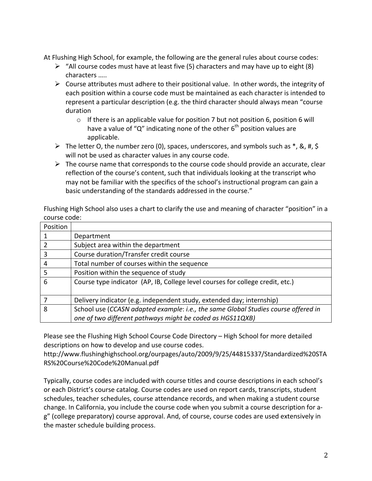At Flushing High School, for example, the following are the general rules about course codes:

- $\triangleright$  "All course codes must have at least five (5) characters and may have up to eight (8) characters …..
- $\triangleright$  Course attributes must adhere to their positional value. In other words, the integrity of each position within a course code must be maintained as each character is intended to represent a particular description (e.g. the third character should always mean "course duration
	- $\circ$  If there is an applicable value for position 7 but not position 6, position 6 will have a value of "Q" indicating none of the other  $6<sup>th</sup>$  position values are applicable.
- $\triangleright$  The letter O, the number zero (0), spaces, underscores, and symbols such as  $*$ , &, #, \$ will not be used as character values in any course code.
- $\triangleright$  The course name that corresponds to the course code should provide an accurate, clear reflection of the course's content, such that individuals looking at the transcript who may not be familiar with the specifics of the school's instructional program can gain a basic understanding of the standards addressed in the course."

Flushing High School also uses a chart to clarify the use and meaning of character "position" in a course code:

| Position |                                                                                    |
|----------|------------------------------------------------------------------------------------|
|          | Department                                                                         |
| 2        | Subject area within the department                                                 |
| 3        | Course duration/Transfer credit course                                             |
| 4        | Total number of courses within the sequence                                        |
| -5       | Position within the sequence of study                                              |
| 6        | Course type indicator (AP, IB, College level courses for college credit, etc.)     |
|          | Delivery indicator (e.g. independent study, extended day; internship)              |
| 8        | School use (CCASN adapted example: i.e., the same Global Studies course offered in |
|          | one of two different pathways might be coded as HGS11QXB)                          |

Please see the Flushing High School Course Code Directory – High School for more detailed descriptions on how to develop and use course codes.

http://www.flushinghighschool.org/ourpages/auto/2009/9/25/44815337/Standardized%20STA RS%20Course%20Code%20Manual.pdf

Typically, course codes are included with course titles and course descriptions in each school's or each District's course catalog. Course codes are used on report cards, transcripts, student schedules, teacher schedules, course attendance records, and when making a student course change. In California, you include the course code when you submit a course description for ag" (college preparatory) course approval. And, of course, course codes are used extensively in the master schedule building process.